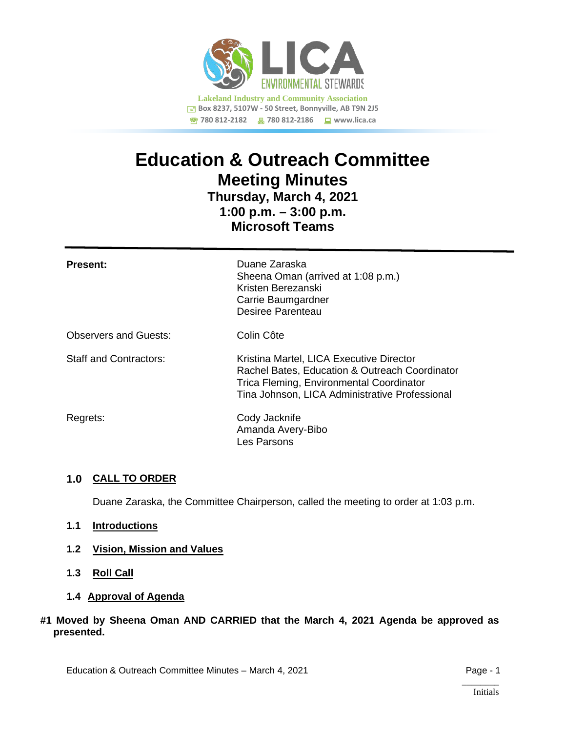

# **Education & Outreach Committee Meeting Minutes**

**Thursday, March 4, 2021 1:00 p.m. – 3:00 p.m. Microsoft Teams**

| <b>Present:</b>               | Duane Zaraska<br>Sheena Oman (arrived at 1:08 p.m.)<br>Kristen Berezanski<br>Carrie Baumgardner<br>Desiree Parenteau                                                                     |
|-------------------------------|------------------------------------------------------------------------------------------------------------------------------------------------------------------------------------------|
| <b>Observers and Guests:</b>  | Colin Côte                                                                                                                                                                               |
| <b>Staff and Contractors:</b> | Kristina Martel, LICA Executive Director<br>Rachel Bates, Education & Outreach Coordinator<br>Trica Fleming, Environmental Coordinator<br>Tina Johnson, LICA Administrative Professional |
| Regrets:                      | Cody Jacknife<br>Amanda Avery-Bibo<br>Les Parsons                                                                                                                                        |

## **1.0 CALL TO ORDER**

Duane Zaraska, the Committee Chairperson, called the meeting to order at 1:03 p.m.

- **1.1 Introductions**
- **1.2 Vision, Mission and Values**
- **1.3 Roll Call**
- **1.4 Approval of Agenda**

## **#1 Moved by Sheena Oman AND CARRIED that the March 4, 2021 Agenda be approved as presented.**

Education & Outreach Committee Minutes – March 4, 2021 **Page - 1** Page - 1

 $\overline{\phantom{a}}$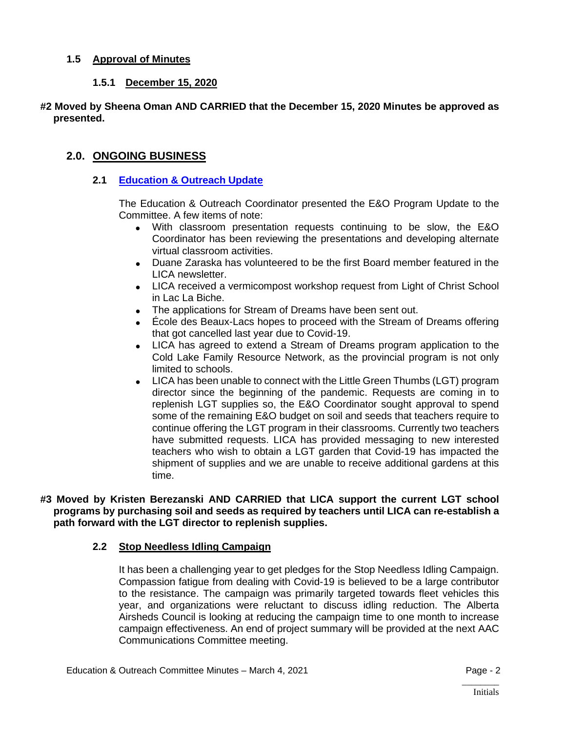## **1.5 Approval of Minutes**

## **1.5.1 December 15, 2020**

#### **#2 Moved by Sheena Oman AND CARRIED that the December 15, 2020 Minutes be approved as presented.**

## **2.0. ONGOING BUSINESS**

#### **2.1 [Education & Outreach Update](https://lica2.sharepoint.com/:b:/s/Office/EZUM5jWTH0dMmexHH21BoCsBRK70TlI4azhYu3IaJ8D8Yg?e=cV0Q7E)**

The Education & Outreach Coordinator presented the E&O Program Update to the Committee. A few items of note:

- With classroom presentation requests continuing to be slow, the E&O Coordinator has been reviewing the presentations and developing alternate virtual classroom activities.
- Duane Zaraska has volunteered to be the first Board member featured in the LICA newsletter.
- LICA received a vermicompost workshop request from Light of Christ School in Lac La Biche.
- The applications for Stream of Dreams have been sent out.
- École des Beaux-Lacs hopes to proceed with the Stream of Dreams offering that got cancelled last year due to Covid-19.
- LICA has agreed to extend a Stream of Dreams program application to the Cold Lake Family Resource Network, as the provincial program is not only limited to schools.
- LICA has been unable to connect with the Little Green Thumbs (LGT) program director since the beginning of the pandemic. Requests are coming in to replenish LGT supplies so, the E&O Coordinator sought approval to spend some of the remaining E&O budget on soil and seeds that teachers require to continue offering the LGT program in their classrooms. Currently two teachers have submitted requests. LICA has provided messaging to new interested teachers who wish to obtain a LGT garden that Covid-19 has impacted the shipment of supplies and we are unable to receive additional gardens at this time.

#### **#3 Moved by Kristen Berezanski AND CARRIED that LICA support the current LGT school programs by purchasing soil and seeds as required by teachers until LICA can re-establish a path forward with the LGT director to replenish supplies.**

## **2.2 Stop Needless Idling Campaign**

It has been a challenging year to get pledges for the Stop Needless Idling Campaign. Compassion fatigue from dealing with Covid-19 is believed to be a large contributor to the resistance. The campaign was primarily targeted towards fleet vehicles this year, and organizations were reluctant to discuss idling reduction. The Alberta Airsheds Council is looking at reducing the campaign time to one month to increase campaign effectiveness. An end of project summary will be provided at the next AAC Communications Committee meeting.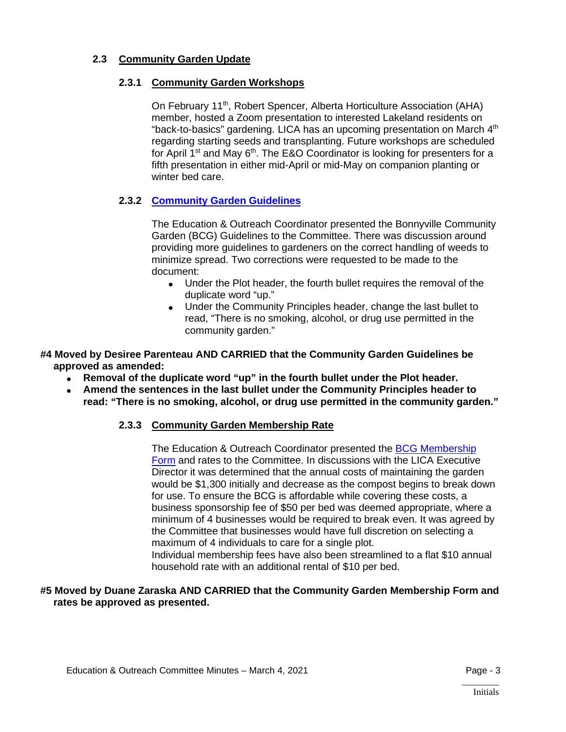## **2.3 Community Garden Update**

## **2.3.1 Community Garden Workshops**

On February 11<sup>th</sup>, Robert Spencer, Alberta Horticulture Association (AHA) member, hosted a Zoom presentation to interested Lakeland residents on "back-to-basics" gardening. LICA has an upcoming presentation on March  $4<sup>th</sup>$ regarding starting seeds and transplanting. Future workshops are scheduled for April  $1^{st}$  and May  $6^{th}$ . The E&O Coordinator is looking for presenters for a fifth presentation in either mid-April or mid-May on companion planting or winter bed care.

## **2.3.2 [Community Garden Guidelines](https://lica2.sharepoint.com/:b:/s/Office/EWxAoWHOacxPqHbJE3hRetMBd5HDfvuH04Nl1nYCqCqzlg?e=oWS3xn)**

The Education & Outreach Coordinator presented the Bonnyville Community Garden (BCG) Guidelines to the Committee. There was discussion around providing more guidelines to gardeners on the correct handling of weeds to minimize spread. Two corrections were requested to be made to the document:

- Under the Plot header, the fourth bullet requires the removal of the duplicate word "up."
- Under the Community Principles header, change the last bullet to read, "There is no smoking, alcohol, or drug use permitted in the community garden."
- **#4 Moved by Desiree Parenteau AND CARRIED that the Community Garden Guidelines be approved as amended:**
	- **Removal of the duplicate word "up" in the fourth bullet under the Plot header.**
	- **Amend the sentences in the last bullet under the Community Principles header to read: "There is no smoking, alcohol, or drug use permitted in the community garden."**

## **2.3.3 Community Garden Membership Rate**

The Education & Outreach Coordinator presented the [BCG Membership](https://lica2.sharepoint.com/:b:/s/Office/EVbu8WBgZdJIuIJDD-PehPgBZJG2xRxIqJoXXMi34R4Z1g?e=5W1h2B)  [Form](https://lica2.sharepoint.com/:b:/s/Office/EVbu8WBgZdJIuIJDD-PehPgBZJG2xRxIqJoXXMi34R4Z1g?e=5W1h2B) and rates to the Committee. In discussions with the LICA Executive Director it was determined that the annual costs of maintaining the garden would be \$1,300 initially and decrease as the compost begins to break down for use. To ensure the BCG is affordable while covering these costs, a business sponsorship fee of \$50 per bed was deemed appropriate, where a minimum of 4 businesses would be required to break even. It was agreed by the Committee that businesses would have full discretion on selecting a maximum of 4 individuals to care for a single plot. Individual membership fees have also been streamlined to a flat \$10 annual household rate with an additional rental of \$10 per bed.

## **#5 Moved by Duane Zaraska AND CARRIED that the Community Garden Membership Form and rates be approved as presented.**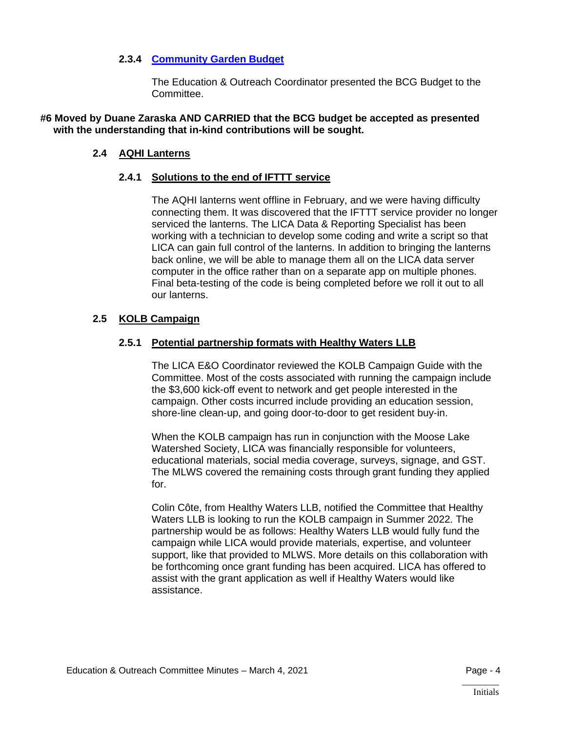## **2.3.4 [Community Garden Budget](https://lica2.sharepoint.com/:b:/s/Office/EZYxUrjNqm1BtEexEkp_WeQBXimLAdAnvpIPvOO-JHkMzw?e=LrIx1I)**

The Education & Outreach Coordinator presented the BCG Budget to the Committee.

**#6 Moved by Duane Zaraska AND CARRIED that the BCG budget be accepted as presented with the understanding that in-kind contributions will be sought.**

#### **2.4 AQHI Lanterns**

#### **2.4.1 Solutions to the end of IFTTT service**

The AQHI lanterns went offline in February, and we were having difficulty connecting them. It was discovered that the IFTTT service provider no longer serviced the lanterns. The LICA Data & Reporting Specialist has been working with a technician to develop some coding and write a script so that LICA can gain full control of the lanterns. In addition to bringing the lanterns back online, we will be able to manage them all on the LICA data server computer in the office rather than on a separate app on multiple phones. Final beta-testing of the code is being completed before we roll it out to all our lanterns.

#### **2.5 KOLB Campaign**

#### **2.5.1 Potential partnership formats with Healthy Waters LLB**

The LICA E&O Coordinator reviewed the KOLB Campaign Guide with the Committee. Most of the costs associated with running the campaign include the \$3,600 kick-off event to network and get people interested in the campaign. Other costs incurred include providing an education session, shore-line clean-up, and going door-to-door to get resident buy-in.

When the KOLB campaign has run in conjunction with the Moose Lake Watershed Society, LICA was financially responsible for volunteers, educational materials, social media coverage, surveys, signage, and GST. The MLWS covered the remaining costs through grant funding they applied for.

Colin Côte, from Healthy Waters LLB, notified the Committee that Healthy Waters LLB is looking to run the KOLB campaign in Summer 2022. The partnership would be as follows: Healthy Waters LLB would fully fund the campaign while LICA would provide materials, expertise, and volunteer support, like that provided to MLWS. More details on this collaboration with be forthcoming once grant funding has been acquired. LICA has offered to assist with the grant application as well if Healthy Waters would like assistance.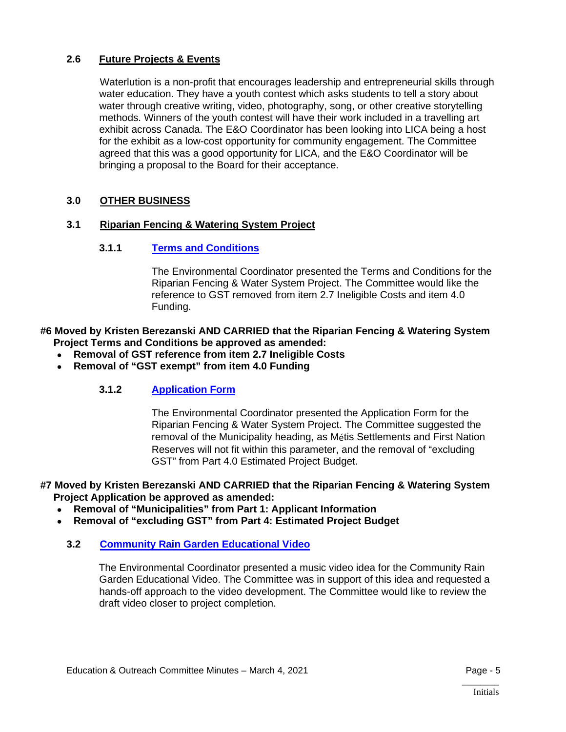## **2.6 Future Projects & Events**

Waterlution is a non-profit that encourages leadership and entrepreneurial skills through water education. They have a youth contest which asks students to tell a story about water through creative writing, video, photography, song, or other creative storytelling methods. Winners of the youth contest will have their work included in a travelling art exhibit across Canada. The E&O Coordinator has been looking into LICA being a host for the exhibit as a low-cost opportunity for community engagement. The Committee agreed that this was a good opportunity for LICA, and the E&O Coordinator will be bringing a proposal to the Board for their acceptance.

## **3.0 OTHER BUSINESS**

## **3.1 Riparian Fencing & Watering System Project**

## **3.1.1 [Terms and Conditions](https://lica2.sharepoint.com/:b:/s/Office/Eay0eAq9_QlCjOvq84ZmygoBbGjBFSWcbHqm-oyroiwyHg?e=q0M7vc)**

The Environmental Coordinator presented the Terms and Conditions for the Riparian Fencing & Water System Project. The Committee would like the reference to GST removed from item 2.7 Ineligible Costs and item 4.0 Funding.

#### **#6 Moved by Kristen Berezanski AND CARRIED that the Riparian Fencing & Watering System Project Terms and Conditions be approved as amended:**

- **Removal of GST reference from item 2.7 Ineligible Costs**
- **Removal of "GST exempt" from item 4.0 Funding**

## **3.1.2 [Application Form](https://lica2.sharepoint.com/:b:/s/Office/EUUKSMRC5r1DsK8tJclUEzkBQkJ6yUihjaR6SRWx-q0gMw?e=f2cVbq)**

The Environmental Coordinator presented the Application Form for the Riparian Fencing & Water System Project. The Committee suggested the removal of the Municipality heading, as Métis Settlements and First Nation Reserves will not fit within this parameter, and the removal of "excluding GST" from Part 4.0 Estimated Project Budget.

#### **#7 Moved by Kristen Berezanski AND CARRIED that the Riparian Fencing & Watering System Project Application be approved as amended:**

- **Removal of "Municipalities" from Part 1: Applicant Information**
- **Removal of "excluding GST" from Part 4: Estimated Project Budget**

## **3.2 [Community Rain Garden Educational Video](https://lica2.sharepoint.com/:b:/s/Office/EVBfELT3f8lIs6eaUkfDokIBz1i89mbK-Z-qoafLOW2UyQ?e=Ferlnt)**

The Environmental Coordinator presented a music video idea for the Community Rain Garden Educational Video. The Committee was in support of this idea and requested a hands-off approach to the video development. The Committee would like to review the draft video closer to project completion.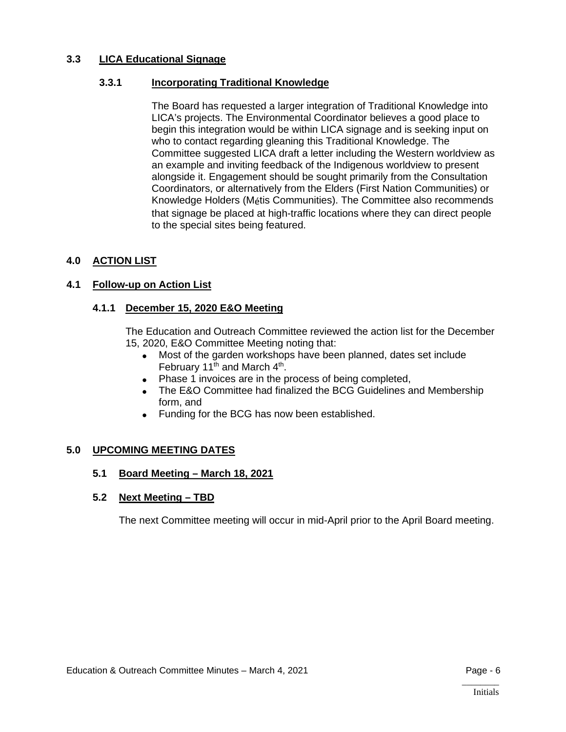## **3.3 LICA Educational Signage**

## **3.3.1 Incorporating Traditional Knowledge**

The Board has requested a larger integration of Traditional Knowledge into LICA's projects. The Environmental Coordinator believes a good place to begin this integration would be within LICA signage and is seeking input on who to contact regarding gleaning this Traditional Knowledge. The Committee suggested LICA draft a letter including the Western worldview as an example and inviting feedback of the Indigenous worldview to present alongside it. Engagement should be sought primarily from the Consultation Coordinators, or alternatively from the Elders (First Nation Communities) or Knowledge Holders (Métis Communities). The Committee also recommends that signage be placed at high-traffic locations where they can direct people to the special sites being featured.

## **4.0 ACTION LIST**

## **4.1 Follow-up on Action List**

## **4.1.1 December 15, 2020 E&O Meeting**

The Education and Outreach Committee reviewed the action list for the December 15, 2020, E&O Committee Meeting noting that:

- Most of the garden workshops have been planned, dates set include February 11<sup>th</sup> and March  $4<sup>th</sup>$ .
- Phase 1 invoices are in the process of being completed,
- The E&O Committee had finalized the BCG Guidelines and Membership form, and
- Funding for the BCG has now been established.

## **5.0 UPCOMING MEETING DATES**

## **5.1 Board Meeting – March 18, 2021**

## **5.2 Next Meeting – TBD**

The next Committee meeting will occur in mid-April prior to the April Board meeting.